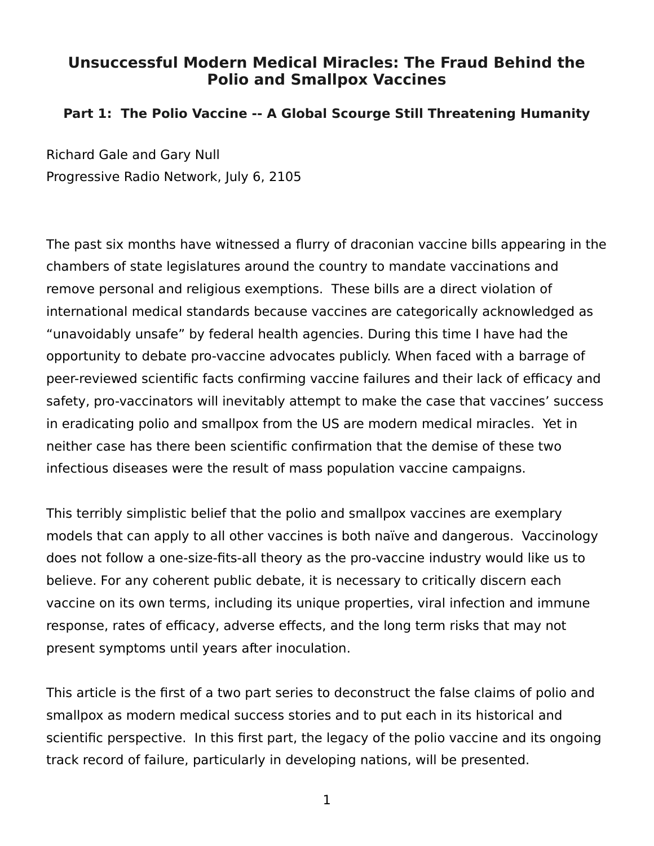## **Unsuccessful Modern Medical Miracles: The Fraud Behind the Polio and Smallpox Vaccines**

## **Part 1: The Polio Vaccine -- A Global Scourge Still Threatening Humanity**

Richard Gale and Gary Null Progressive Radio Network, July 6, 2105

The past six months have witnessed a flurry of draconian vaccine bills appearing in the chambers of state legislatures around the country to mandate vaccinations and remove personal and religious exemptions. These bills are a direct violation of international medical standards because vaccines are categorically acknowledged as "unavoidably unsafe" by federal health agencies. During this time I have had the opportunity to debate pro-vaccine advocates publicly. When faced with a barrage of peer-reviewed scientific facts confirming vaccine failures and their lack of efficacy and safety, pro-vaccinators will inevitably attempt to make the case that vaccines' success in eradicating polio and smallpox from the US are modern medical miracles. Yet in neither case has there been scientific confirmation that the demise of these two infectious diseases were the result of mass population vaccine campaigns.

This terribly simplistic belief that the polio and smallpox vaccines are exemplary models that can apply to all other vaccines is both naïve and dangerous. Vaccinology does not follow a one-size-fits-all theory as the pro-vaccine industry would like us to believe. For any coherent public debate, it is necessary to critically discern each vaccine on its own terms, including its unique properties, viral infection and immune response, rates of efficacy, adverse effects, and the long term risks that may not present symptoms until years after inoculation.

This article is the first of a two part series to deconstruct the false claims of polio and smallpox as modern medical success stories and to put each in its historical and scientific perspective. In this first part, the legacy of the polio vaccine and its ongoing track record of failure, particularly in developing nations, will be presented.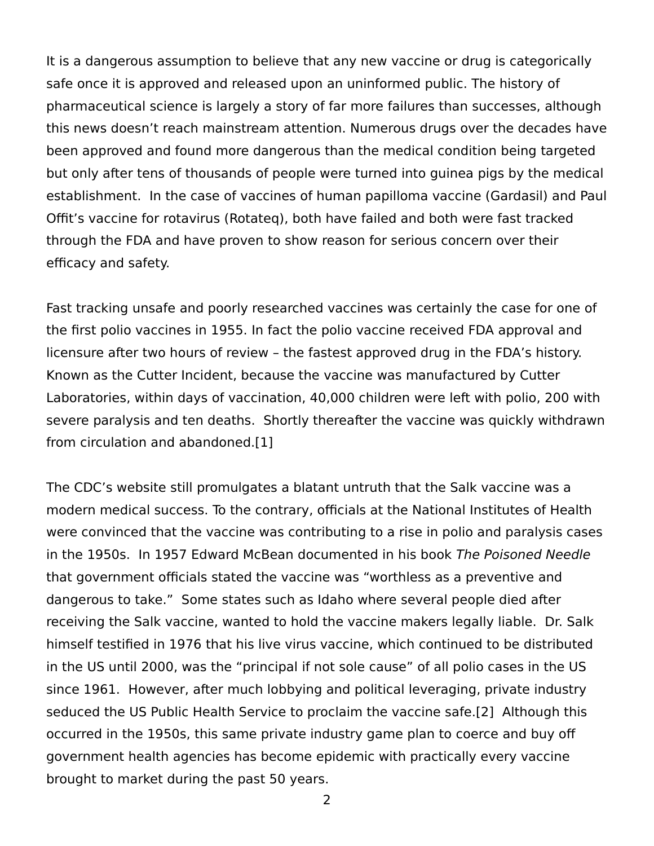It is a dangerous assumption to believe that any new vaccine or drug is categorically safe once it is approved and released upon an uninformed public. The history of pharmaceutical science is largely a story of far more failures than successes, although this news doesn't reach mainstream attention. Numerous drugs over the decades have been approved and found more dangerous than the medical condition being targeted but only after tens of thousands of people were turned into guinea pigs by the medical establishment. In the case of vaccines of human papilloma vaccine (Gardasil) and Paul Offit's vaccine for rotavirus (Rotateq), both have failed and both were fast tracked through the FDA and have proven to show reason for serious concern over their efficacy and safety.

Fast tracking unsafe and poorly researched vaccines was certainly the case for one of the first polio vaccines in 1955. In fact the polio vaccine received FDA approval and licensure after two hours of review – the fastest approved drug in the FDA's history. Known as the Cutter Incident, because the vaccine was manufactured by Cutter Laboratories, within days of vaccination, 40,000 children were left with polio, 200 with severe paralysis and ten deaths. Shortly thereafter the vaccine was quickly withdrawn from circulation and abandoned.[1]

The CDC's website still promulgates a blatant untruth that the Salk vaccine was a modern medical success. To the contrary, officials at the National Institutes of Health were convinced that the vaccine was contributing to a rise in polio and paralysis cases in the 1950s. In 1957 Edward McBean documented in his book The Poisoned Needle that government officials stated the vaccine was "worthless as a preventive and dangerous to take." Some states such as Idaho where several people died after receiving the Salk vaccine, wanted to hold the vaccine makers legally liable. Dr. Salk himself testified in 1976 that his live virus vaccine, which continued to be distributed in the US until 2000, was the "principal if not sole cause" of all polio cases in the US since 1961. However, after much lobbying and political leveraging, private industry seduced the US Public Health Service to proclaim the vaccine safe.[2] Although this occurred in the 1950s, this same private industry game plan to coerce and buy off government health agencies has become epidemic with practically every vaccine brought to market during the past 50 years.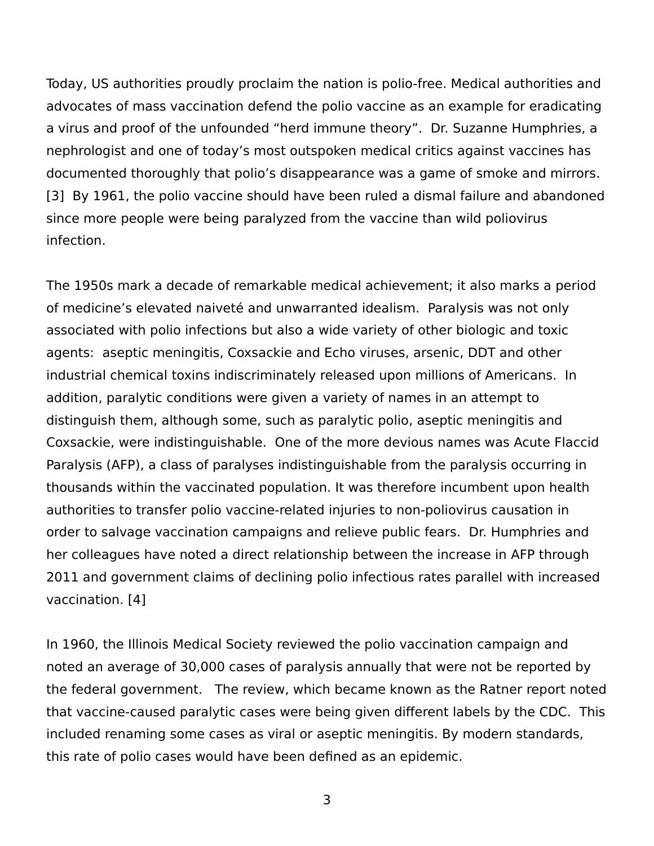Today, US authorities proudly proclaim the nation is polio-free. Medical authorities and advocates of mass vaccination defend the polio vaccine as an example for eradicating a virus and proof of the unfounded "herd immune theory". Dr. Suzanne Humphries, a nephrologist and one of today's most outspoken medical critics against vaccines has documented thoroughly that polio's disappearance was a game of smoke and mirrors. [3] By 1961, the polio vaccine should have been ruled a dismal failure and abandoned since more people were being paralyzed from the vaccine than wild poliovirus infection.

The 1950s mark a decade of remarkable medical achievement; it also marks a period of medicine's elevated naiveté and unwarranted idealism. Paralysis was not only associated with polio infections but also a wide variety of other biologic and toxic agents: aseptic meningitis, Coxsackie and Echo viruses, arsenic, DDT and other industrial chemical toxins indiscriminately released upon millions of Americans. In addition, paralytic conditions were given a variety of names in an attempt to distinguish them, although some, such as paralytic polio, aseptic meningitis and Coxsackie, were indistinguishable. One of the more devious names was Acute Flaccid Paralysis (AFP), a class of paralyses indistinguishable from the paralysis occurring in thousands within the vaccinated population. It was therefore incumbent upon health authorities to transfer polio vaccine-related injuries to non-poliovirus causation in order to salvage vaccination campaigns and relieve public fears. Dr. Humphries and her colleagues have noted a direct relationship between the increase in AFP through 2011 and government claims of declining polio infectious rates parallel with increased vaccination. [4]

In 1960, the Illinois Medical Society reviewed the polio vaccination campaign and noted an average of 30,000 cases of paralysis annually that were not be reported by the federal government. The review, which became known as the Ratner report noted that vaccine-caused paralytic cases were being given different labels by the CDC. This included renaming some cases as viral or aseptic meningitis. By modern standards, this rate of polio cases would have been defined as an epidemic.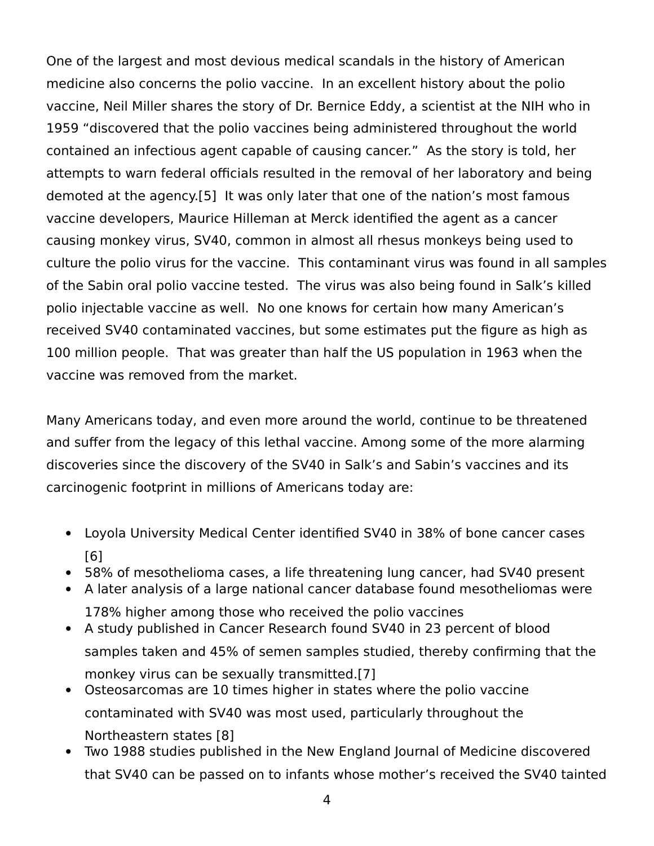One of the largest and most devious medical scandals in the history of American medicine also concerns the polio vaccine. In an excellent history about the polio vaccine, Neil Miller shares the story of Dr. Bernice Eddy, a scientist at the NIH who in 1959 "discovered that the polio vaccines being administered throughout the world contained an infectious agent capable of causing cancer." As the story is told, her attempts to warn federal officials resulted in the removal of her laboratory and being demoted at the agency.[5] It was only later that one of the nation's most famous vaccine developers, Maurice Hilleman at Merck identified the agent as a cancer causing monkey virus, SV40, common in almost all rhesus monkeys being used to culture the polio virus for the vaccine. This contaminant virus was found in all samples of the Sabin oral polio vaccine tested. The virus was also being found in Salk's killed polio injectable vaccine as well. No one knows for certain how many American's received SV40 contaminated vaccines, but some estimates put the figure as high as 100 million people. That was greater than half the US population in 1963 when the vaccine was removed from the market.

Many Americans today, and even more around the world, continue to be threatened and suffer from the legacy of this lethal vaccine. Among some of the more alarming discoveries since the discovery of the SV40 in Salk's and Sabin's vaccines and its carcinogenic footprint in millions of Americans today are:

- Loyola University Medical Center identified SV40 in 38% of bone cancer cases [6]
- 58% of mesothelioma cases, a life threatening lung cancer, had SV40 present
- A later analysis of a large national cancer database found mesotheliomas were 178% higher among those who received the polio vaccines
- A study published in Cancer Research found SV40 in 23 percent of blood samples taken and 45% of semen samples studied, thereby confirming that the monkey virus can be sexually transmitted.[7]
- Osteosarcomas are 10 times higher in states where the polio vaccine contaminated with SV40 was most used, particularly throughout the Northeastern states [8]
- Two 1988 studies published in the New England Journal of Medicine discovered that SV40 can be passed on to infants whose mother's received the SV40 tainted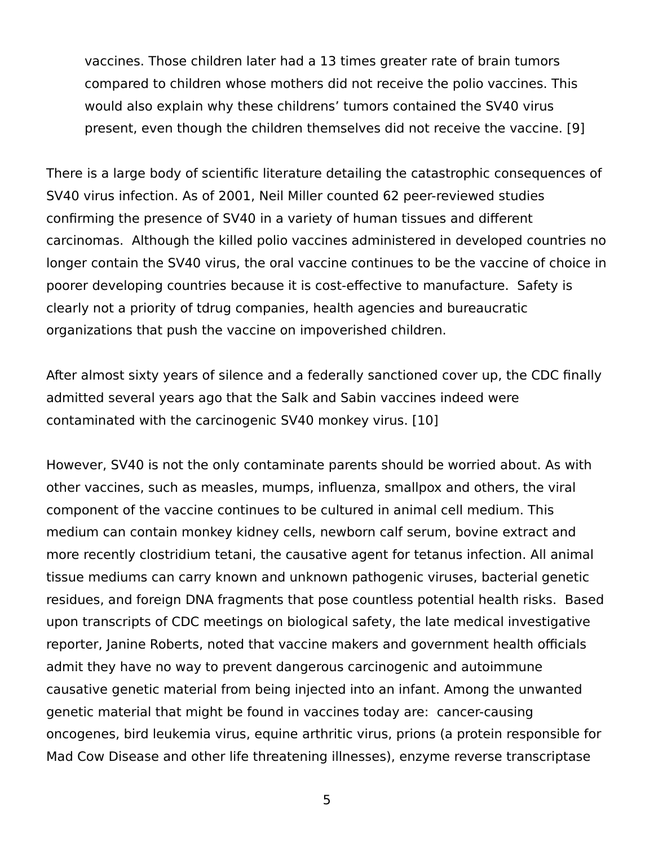vaccines. Those children later had a 13 times greater rate of brain tumors compared to children whose mothers did not receive the polio vaccines. This would also explain why these childrens' tumors contained the SV40 virus present, even though the children themselves did not receive the vaccine. [9]

There is a large body of scientific literature detailing the catastrophic consequences of SV40 virus infection. As of 2001, Neil Miller counted 62 peer-reviewed studies confirming the presence of SV40 in a variety of human tissues and different carcinomas. Although the killed polio vaccines administered in developed countries no longer contain the SV40 virus, the oral vaccine continues to be the vaccine of choice in poorer developing countries because it is cost-effective to manufacture. Safety is clearly not a priority of tdrug companies, health agencies and bureaucratic organizations that push the vaccine on impoverished children.

After almost sixty years of silence and a federally sanctioned cover up, the CDC finally admitted several years ago that the Salk and Sabin vaccines indeed were contaminated with the carcinogenic SV40 monkey virus. [10]

However, SV40 is not the only contaminate parents should be worried about. As with other vaccines, such as measles, mumps, influenza, smallpox and others, the viral component of the vaccine continues to be cultured in animal cell medium. This medium can contain monkey kidney cells, newborn calf serum, bovine extract and more recently clostridium tetani, the causative agent for tetanus infection. All animal tissue mediums can carry known and unknown pathogenic viruses, bacterial genetic residues, and foreign DNA fragments that pose countless potential health risks. Based upon transcripts of CDC meetings on biological safety, the late medical investigative reporter, Janine Roberts, noted that vaccine makers and government health officials admit they have no way to prevent dangerous carcinogenic and autoimmune causative genetic material from being injected into an infant. Among the unwanted genetic material that might be found in vaccines today are: cancer-causing oncogenes, bird leukemia virus, equine arthritic virus, prions (a protein responsible for Mad Cow Disease and other life threatening illnesses), enzyme reverse transcriptase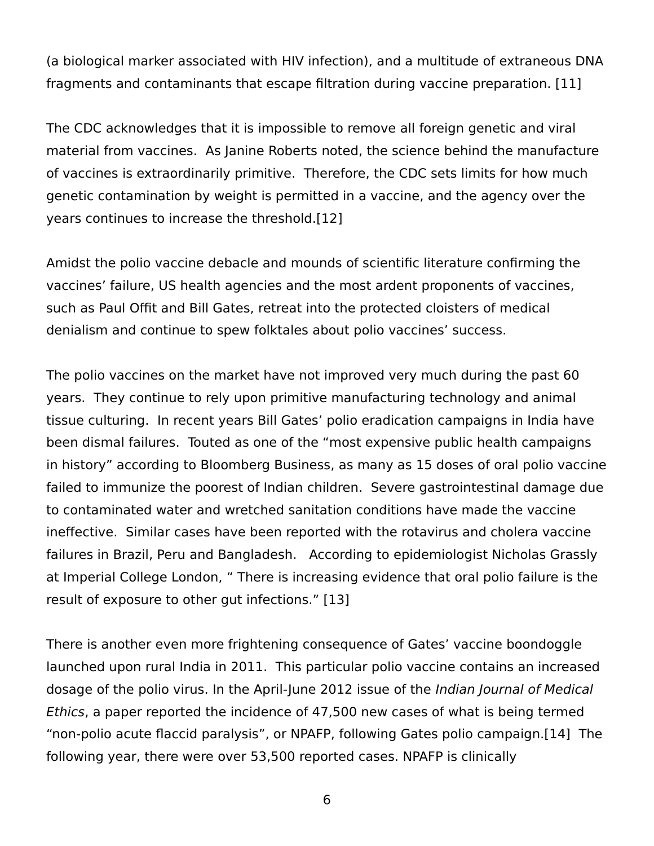(a biological marker associated with HIV infection), and a multitude of extraneous DNA fragments and contaminants that escape filtration during vaccine preparation. [11]

The CDC acknowledges that it is impossible to remove all foreign genetic and viral material from vaccines. As Janine Roberts noted, the science behind the manufacture of vaccines is extraordinarily primitive. Therefore, the CDC sets limits for how much genetic contamination by weight is permitted in a vaccine, and the agency over the years continues to increase the threshold.[12]

Amidst the polio vaccine debacle and mounds of scientific literature confirming the vaccines' failure, US health agencies and the most ardent proponents of vaccines, such as Paul Offit and Bill Gates, retreat into the protected cloisters of medical denialism and continue to spew folktales about polio vaccines' success.

The polio vaccines on the market have not improved very much during the past 60 years. They continue to rely upon primitive manufacturing technology and animal tissue culturing. In recent years Bill Gates' polio eradication campaigns in India have been dismal failures. Touted as one of the "most expensive public health campaigns in history" according to Bloomberg Business, as many as 15 doses of oral polio vaccine failed to immunize the poorest of Indian children. Severe gastrointestinal damage due to contaminated water and wretched sanitation conditions have made the vaccine ineffective. Similar cases have been reported with the rotavirus and cholera vaccine failures in Brazil, Peru and Bangladesh. According to epidemiologist Nicholas Grassly at Imperial College London, " There is increasing evidence that oral polio failure is the result of exposure to other gut infections." [13]

There is another even more frightening consequence of Gates' vaccine boondoggle launched upon rural India in 2011. This particular polio vaccine contains an increased dosage of the polio virus. In the April-June 2012 issue of the *Indian Journal of Medical* Ethics, a paper reported the incidence of 47,500 new cases of what is being termed "non-polio acute flaccid paralysis", or NPAFP, following Gates polio campaign.[14] The following year, there were over 53,500 reported cases. NPAFP is clinically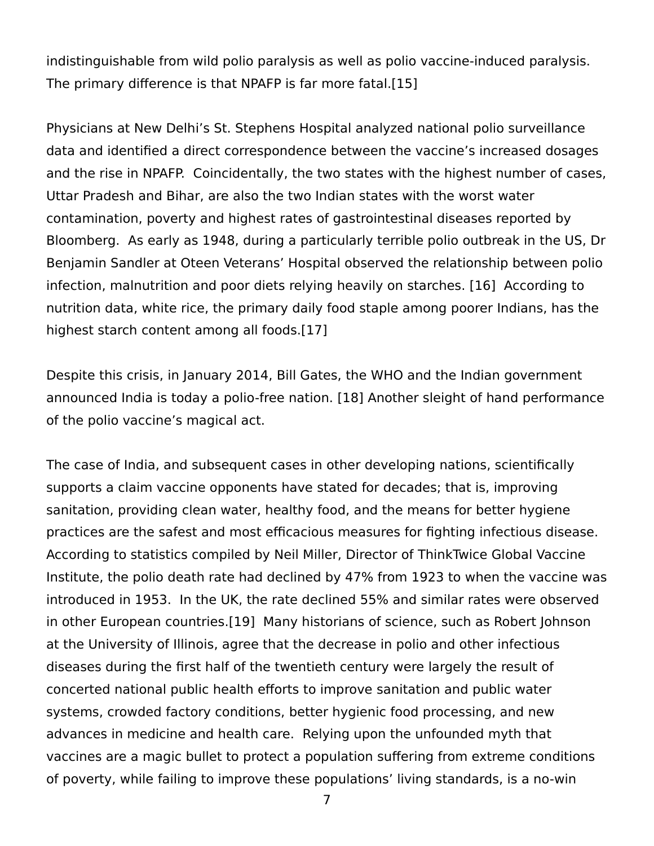indistinguishable from wild polio paralysis as well as polio vaccine-induced paralysis. The primary difference is that NPAFP is far more fatal.[15]

Physicians at New Delhi's St. Stephens Hospital analyzed national polio surveillance data and identified a direct correspondence between the vaccine's increased dosages and the rise in NPAFP. Coincidentally, the two states with the highest number of cases, Uttar Pradesh and Bihar, are also the two Indian states with the worst water contamination, poverty and highest rates of gastrointestinal diseases reported by Bloomberg. As early as 1948, during a particularly terrible polio outbreak in the US, Dr Benjamin Sandler at Oteen Veterans' Hospital observed the relationship between polio infection, malnutrition and poor diets relying heavily on starches. [16] According to nutrition data, white rice, the primary daily food staple among poorer Indians, has the highest starch content among all foods.[17]

Despite this crisis, in January 2014, Bill Gates, the WHO and the Indian government announced India is today a polio-free nation. [18] Another sleight of hand performance of the polio vaccine's magical act.

The case of India, and subsequent cases in other developing nations, scientifically supports a claim vaccine opponents have stated for decades; that is, improving sanitation, providing clean water, healthy food, and the means for better hygiene practices are the safest and most efficacious measures for fighting infectious disease. According to statistics compiled by Neil Miller, Director of ThinkTwice Global Vaccine Institute, the polio death rate had declined by 47% from 1923 to when the vaccine was introduced in 1953. In the UK, the rate declined 55% and similar rates were observed in other European countries.[19] Many historians of science, such as Robert Johnson at the University of Illinois, agree that the decrease in polio and other infectious diseases during the first half of the twentieth century were largely the result of concerted national public health efforts to improve sanitation and public water systems, crowded factory conditions, better hygienic food processing, and new advances in medicine and health care. Relying upon the unfounded myth that vaccines are a magic bullet to protect a population suffering from extreme conditions of poverty, while failing to improve these populations' living standards, is a no-win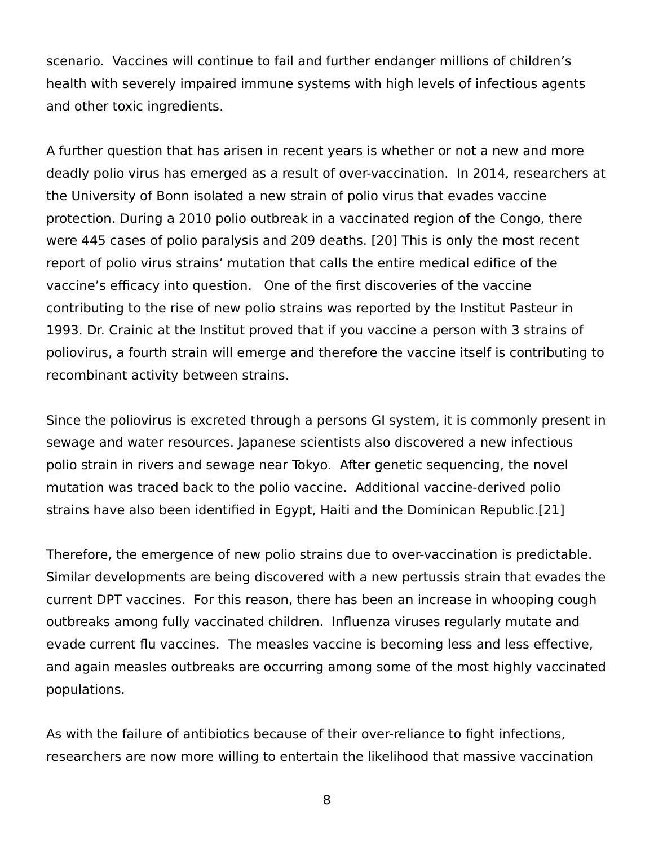scenario. Vaccines will continue to fail and further endanger millions of children's health with severely impaired immune systems with high levels of infectious agents and other toxic ingredients.

A further question that has arisen in recent years is whether or not a new and more deadly polio virus has emerged as a result of over-vaccination. In 2014, researchers at the University of Bonn isolated a new strain of polio virus that evades vaccine protection. During a 2010 polio outbreak in a vaccinated region of the Congo, there were 445 cases of polio paralysis and 209 deaths. [20] This is only the most recent report of polio virus strains' mutation that calls the entire medical edifice of the vaccine's efficacy into question. One of the first discoveries of the vaccine contributing to the rise of new polio strains was reported by the Institut Pasteur in 1993. Dr. Crainic at the Institut proved that if you vaccine a person with 3 strains of poliovirus, a fourth strain will emerge and therefore the vaccine itself is contributing to recombinant activity between strains.

Since the poliovirus is excreted through a persons GI system, it is commonly present in sewage and water resources. Japanese scientists also discovered a new infectious polio strain in rivers and sewage near Tokyo. After genetic sequencing, the novel mutation was traced back to the polio vaccine. Additional vaccine-derived polio strains have also been identified in Egypt, Haiti and the Dominican Republic.[21]

Therefore, the emergence of new polio strains due to over-vaccination is predictable. Similar developments are being discovered with a new pertussis strain that evades the current DPT vaccines. For this reason, there has been an increase in whooping cough outbreaks among fully vaccinated children. Influenza viruses regularly mutate and evade current flu vaccines. The measles vaccine is becoming less and less effective, and again measles outbreaks are occurring among some of the most highly vaccinated populations.

As with the failure of antibiotics because of their over-reliance to fight infections, researchers are now more willing to entertain the likelihood that massive vaccination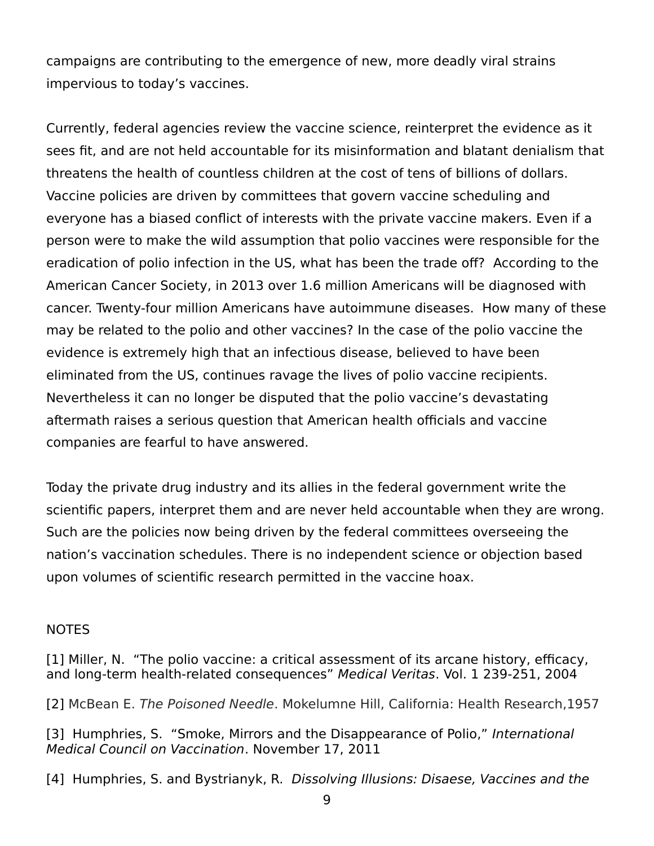campaigns are contributing to the emergence of new, more deadly viral strains impervious to today's vaccines.

Currently, federal agencies review the vaccine science, reinterpret the evidence as it sees fit, and are not held accountable for its misinformation and blatant denialism that threatens the health of countless children at the cost of tens of billions of dollars. Vaccine policies are driven by committees that govern vaccine scheduling and everyone has a biased conflict of interests with the private vaccine makers. Even if a person were to make the wild assumption that polio vaccines were responsible for the eradication of polio infection in the US, what has been the trade off? According to the American Cancer Society, in 2013 over 1.6 million Americans will be diagnosed with cancer. Twenty-four million Americans have autoimmune diseases. How many of these may be related to the polio and other vaccines? In the case of the polio vaccine the evidence is extremely high that an infectious disease, believed to have been eliminated from the US, continues ravage the lives of polio vaccine recipients. Nevertheless it can no longer be disputed that the polio vaccine's devastating aftermath raises a serious question that American health officials and vaccine companies are fearful to have answered.

Today the private drug industry and its allies in the federal government write the scientific papers, interpret them and are never held accountable when they are wrong. Such are the policies now being driven by the federal committees overseeing the nation's vaccination schedules. There is no independent science or objection based upon volumes of scientific research permitted in the vaccine hoax.

## **NOTES**

[1] Miller, N. "The polio vaccine: a critical assessment of its arcane history, efficacy, and long-term health-related consequences" Medical Veritas. Vol. 1 239-251, 2004

[2] McBean E. The Poisoned Needle. Mokelumne Hill, California: Health Research,1957

[3] Humphries, S. "Smoke, Mirrors and the Disappearance of Polio," International Medical Council on Vaccination. November 17, 2011

[4] Humphries, S. and Bystrianyk, R. Dissolving Illusions: Disaese, Vaccines and the